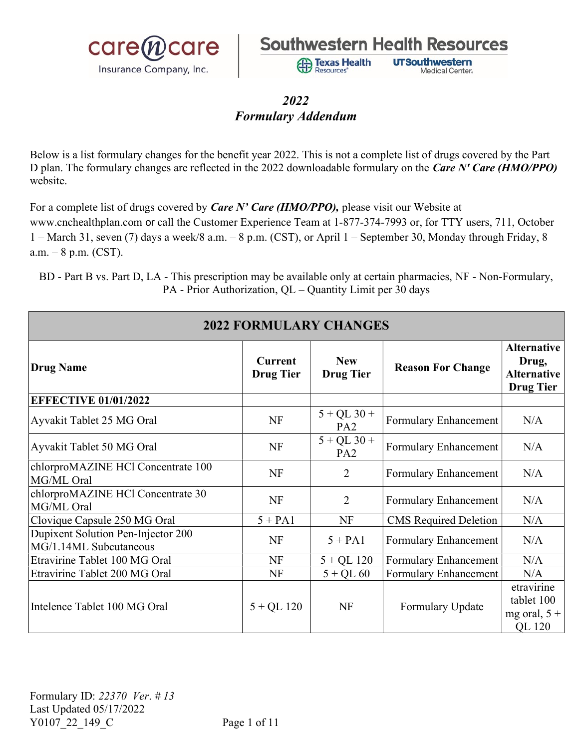



**Texas Health** 

Resources

**UTSouthwestern** 

Medical Center.

### 2022 Formulary Addendum

 Below is a list formulary changes for the benefit year 2022. This is not a complete list of drugs covered by the Part D plan. The formulary changes are reflected in the 2022 downloadable formulary on the Care N' Care (HMO/PPO) website.

For a complete list of drugs covered by *Care N' Care (HMO/PPO)*, please visit our Website at www.cnchealthplan.com or call the Customer Experience Team at 1-877-374-7993 or, for TTY users, 711, October  $1 -$  March 31, seven (7) days a week/8 a.m.  $-$  8 p.m. (CST), or April 1 – September 30, Monday through Friday, 8  $a.m. - 8 p.m. (CST).$ 

| <b>2022 FORMULARY CHANGES</b>                                |                                    |                                  |                              |                                                                       |
|--------------------------------------------------------------|------------------------------------|----------------------------------|------------------------------|-----------------------------------------------------------------------|
| <b>Drug Name</b>                                             | <b>Current</b><br><b>Drug Tier</b> | <b>New</b><br><b>Drug Tier</b>   | <b>Reason For Change</b>     | <b>Alternative</b><br>Drug,<br><b>Alternative</b><br><b>Drug Tier</b> |
| <b>EFFECTIVE 01/01/2022</b>                                  |                                    |                                  |                              |                                                                       |
| Ayvakit Tablet 25 MG Oral                                    | NF                                 | $5 + QL$ 30 +<br>PA <sub>2</sub> | Formulary Enhancement        | N/A                                                                   |
| Ayvakit Tablet 50 MG Oral                                    | NF                                 | $5 + QL$ 30 +<br>PA <sub>2</sub> | Formulary Enhancement        | N/A                                                                   |
| chlorproMAZINE HCl Concentrate 100<br>MG/ML Oral             | NF                                 | $\overline{2}$                   | Formulary Enhancement        | N/A                                                                   |
| chlorproMAZINE HCl Concentrate 30<br>MG/ML Oral              | <b>NF</b>                          | $\overline{2}$                   | Formulary Enhancement        | N/A                                                                   |
| Clovique Capsule 250 MG Oral                                 | $5 + PA1$                          | <b>NF</b>                        | <b>CMS</b> Required Deletion | N/A                                                                   |
| Dupixent Solution Pen-Injector 200<br>MG/1.14ML Subcutaneous | <b>NF</b>                          | $5 + PA1$                        | Formulary Enhancement        | N/A                                                                   |
| Etravirine Tablet 100 MG Oral                                | <b>NF</b>                          | $5 + QL$ 120                     | Formulary Enhancement        | N/A                                                                   |
| Etravirine Tablet 200 MG Oral                                | NF                                 | $5 + QL 60$                      | Formulary Enhancement        | N/A                                                                   |
| Intelence Tablet 100 MG Oral                                 | $5 + QL$ 120                       | NF                               | Formulary Update             | etravirine<br>tablet 100<br>mg oral, $5 +$<br><b>QL</b> 120           |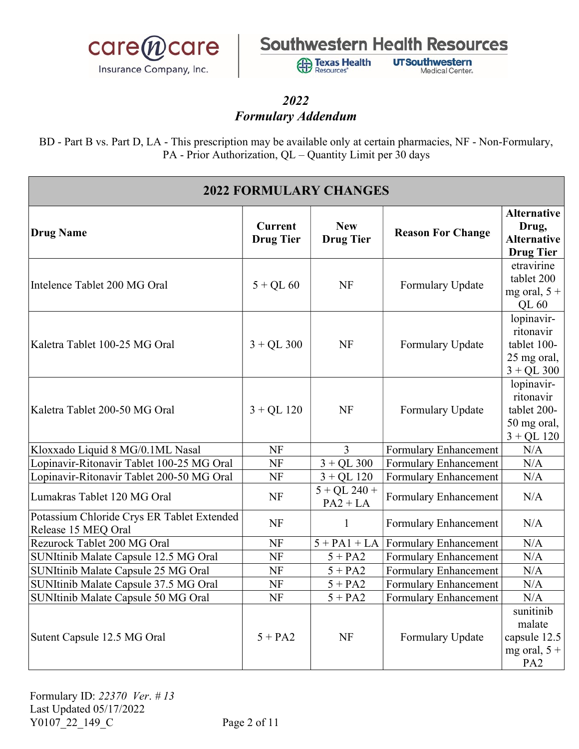

**Exas Health** Resources'

**UTSouthwestern** Medical Center.

### 2022 Formulary Addendum

| <b>2022 FORMULARY CHANGES</b>                                     |                                    |                                |                          |                                                                          |  |
|-------------------------------------------------------------------|------------------------------------|--------------------------------|--------------------------|--------------------------------------------------------------------------|--|
| Drug Name                                                         | <b>Current</b><br><b>Drug Tier</b> | <b>New</b><br><b>Drug Tier</b> | <b>Reason For Change</b> | <b>Alternative</b><br>Drug,<br><b>Alternative</b><br><b>Drug Tier</b>    |  |
| Intelence Tablet 200 MG Oral                                      | $5 + QL 60$                        | <b>NF</b>                      | Formulary Update         | etravirine<br>tablet 200<br>mg oral, $5 +$<br>QL 60                      |  |
| Kaletra Tablet 100-25 MG Oral                                     | $3 + QL$ 300                       | <b>NF</b>                      | Formulary Update         | lopinavir-<br>ritonavir<br>tablet 100-<br>25 mg oral,<br>$3 + QL$ 300    |  |
| Kaletra Tablet 200-50 MG Oral                                     | $3 + QL$ 120                       | <b>NF</b>                      | Formulary Update         | lopinavir-<br>ritonavir<br>tablet 200-<br>50 mg oral,<br>$3 + QL$ 120    |  |
| Kloxxado Liquid 8 MG/0.1ML Nasal                                  | NF                                 | $\overline{3}$                 | Formulary Enhancement    | N/A                                                                      |  |
| Lopinavir-Ritonavir Tablet 100-25 MG Oral                         | <b>NF</b>                          | $3 + QL$ 300                   | Formulary Enhancement    | N/A                                                                      |  |
| Lopinavir-Ritonavir Tablet 200-50 MG Oral                         | <b>NF</b>                          | $3 + QL$ 120                   | Formulary Enhancement    | N/A                                                                      |  |
| Lumakras Tablet 120 MG Oral                                       | <b>NF</b>                          | $5 + QL$ 240 +<br>$PA2 + LA$   | Formulary Enhancement    | N/A                                                                      |  |
| Potassium Chloride Crys ER Tablet Extended<br>Release 15 MEQ Oral | <b>NF</b>                          | $\mathbf{1}$                   | Formulary Enhancement    | N/A                                                                      |  |
| Rezurock Tablet 200 MG Oral                                       | NF                                 | $5 + PA1 + LA$                 | Formulary Enhancement    | N/A                                                                      |  |
| SUNItinib Malate Capsule 12.5 MG Oral                             | <b>NF</b>                          | $5 + PA2$                      | Formulary Enhancement    | N/A                                                                      |  |
| SUNItinib Malate Capsule 25 MG Oral                               | <b>NF</b>                          | $5 + PA2$                      | Formulary Enhancement    | N/A                                                                      |  |
| SUNItinib Malate Capsule 37.5 MG Oral                             | <b>NF</b>                          | $5 + PA2$                      | Formulary Enhancement    | N/A                                                                      |  |
| SUNItinib Malate Capsule 50 MG Oral                               | NF                                 | $5 + PA2$                      | Formulary Enhancement    | N/A                                                                      |  |
| Sutent Capsule 12.5 MG Oral                                       | $5 + PA2$                          | <b>NF</b>                      | Formulary Update         | sunitinib<br>malate<br>capsule 12.5<br>mg oral, $5 +$<br>PA <sub>2</sub> |  |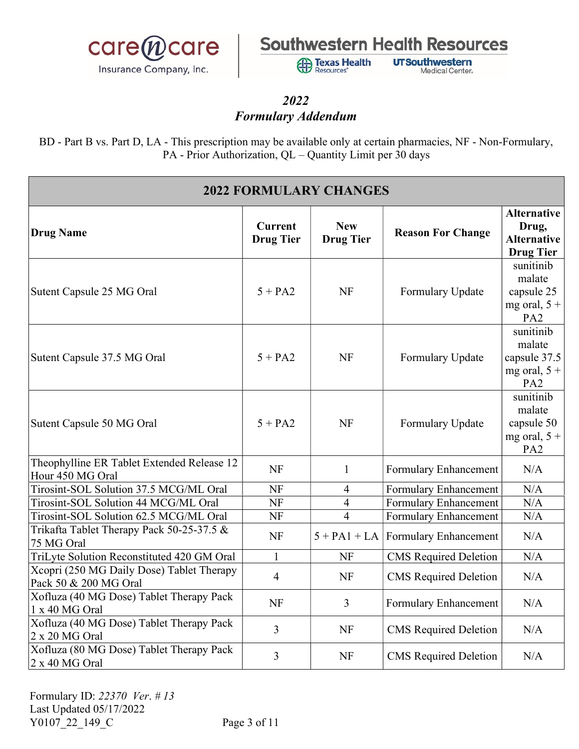

**Exas Health** Resources'

**UTSouthwestern** Medical Center.

### 2022 Formulary Addendum

| <b>2022 FORMULARY CHANGES</b>                                      |                                    |                                |                                      |                                                                          |
|--------------------------------------------------------------------|------------------------------------|--------------------------------|--------------------------------------|--------------------------------------------------------------------------|
| <b>Drug Name</b>                                                   | <b>Current</b><br><b>Drug Tier</b> | <b>New</b><br><b>Drug Tier</b> | <b>Reason For Change</b>             | <b>Alternative</b><br>Drug,<br><b>Alternative</b><br><b>Drug Tier</b>    |
| Sutent Capsule 25 MG Oral                                          | $5 + PA2$                          | <b>NF</b>                      | Formulary Update                     | sunitinib<br>malate<br>capsule 25<br>mg oral, $5 +$<br>PA <sub>2</sub>   |
| Sutent Capsule 37.5 MG Oral                                        | $5 + PA2$                          | <b>NF</b>                      | Formulary Update                     | sunitinib<br>malate<br>capsule 37.5<br>mg oral, $5 +$<br>PA <sub>2</sub> |
| Sutent Capsule 50 MG Oral                                          | $5 + PA2$                          | <b>NF</b>                      | Formulary Update                     | sunitinib<br>malate<br>capsule 50<br>mg oral, $5 +$<br>PA <sub>2</sub>   |
| Theophylline ER Tablet Extended Release 12<br>Hour 450 MG Oral     | <b>NF</b>                          | $\mathbf{1}$                   | Formulary Enhancement                | N/A                                                                      |
| Tirosint-SOL Solution 37.5 MCG/ML Oral                             | NF                                 | $\overline{4}$                 | Formulary Enhancement                | N/A                                                                      |
| Tirosint-SOL Solution 44 MCG/ML Oral                               | NF                                 | $\overline{4}$                 | <b>Formulary Enhancement</b>         | N/A                                                                      |
| Tirosint-SOL Solution 62.5 MCG/ML Oral                             | NF                                 | $\overline{4}$                 | <b>Formulary Enhancement</b>         | N/A                                                                      |
| Trikafta Tablet Therapy Pack 50-25-37.5 &<br>75 MG Oral            | <b>NF</b>                          |                                | $5 + PA1 + LA$ Formulary Enhancement | N/A                                                                      |
| TriLyte Solution Reconstituted 420 GM Oral                         | $\mathbf{1}$                       | <b>NF</b>                      | <b>CMS</b> Required Deletion         | N/A                                                                      |
| Xcopri (250 MG Daily Dose) Tablet Therapy<br>Pack 50 & 200 MG Oral | $\overline{4}$                     | <b>NF</b>                      | <b>CMS</b> Required Deletion         | N/A                                                                      |
| Xofluza (40 MG Dose) Tablet Therapy Pack<br>1 x 40 MG Oral         | <b>NF</b>                          | $\overline{3}$                 | Formulary Enhancement                | N/A                                                                      |
| Xofluza (40 MG Dose) Tablet Therapy Pack<br>2 x 20 MG Oral         | $\overline{3}$                     | <b>NF</b>                      | <b>CMS</b> Required Deletion         | N/A                                                                      |
| Xofluza (80 MG Dose) Tablet Therapy Pack<br>2 x 40 MG Oral         | 3                                  | <b>NF</b>                      | <b>CMS</b> Required Deletion         | N/A                                                                      |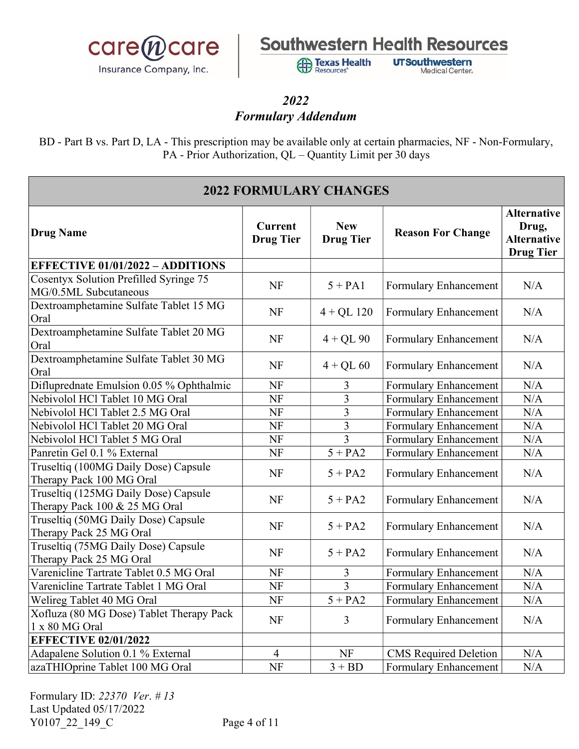

**Exas Health** Resources'

**UTSouthwestern** Medical Center.

## 2022

### Formulary Addendum

| <b>2022 FORMULARY CHANGES</b>                                         |                                    |                                |                              |                                                                       |
|-----------------------------------------------------------------------|------------------------------------|--------------------------------|------------------------------|-----------------------------------------------------------------------|
| Drug Name                                                             | <b>Current</b><br><b>Drug Tier</b> | <b>New</b><br><b>Drug Tier</b> | <b>Reason For Change</b>     | <b>Alternative</b><br>Drug,<br><b>Alternative</b><br><b>Drug Tier</b> |
| <b>EFFECTIVE 01/01/2022 - ADDITIONS</b>                               |                                    |                                |                              |                                                                       |
| Cosentyx Solution Prefilled Syringe 75<br>MG/0.5ML Subcutaneous       | <b>NF</b>                          | $5 + PA1$                      | Formulary Enhancement        | N/A                                                                   |
| Dextroamphetamine Sulfate Tablet 15 MG<br>Oral                        | <b>NF</b>                          | $4 + QL$ 120                   | Formulary Enhancement        | N/A                                                                   |
| Dextroamphetamine Sulfate Tablet 20 MG<br>Oral                        | <b>NF</b>                          | $4 + QL90$                     | Formulary Enhancement        | N/A                                                                   |
| Dextroamphetamine Sulfate Tablet 30 MG<br>Oral                        | NF                                 | $4 + QL 60$                    | Formulary Enhancement        | N/A                                                                   |
| Difluprednate Emulsion 0.05 % Ophthalmic                              | <b>NF</b>                          | 3                              | Formulary Enhancement        | N/A                                                                   |
| Nebivolol HCl Tablet 10 MG Oral                                       | NF                                 | 3                              | Formulary Enhancement        | N/A                                                                   |
| Nebivolol HCl Tablet 2.5 MG Oral                                      | <b>NF</b>                          | 3                              | Formulary Enhancement        | N/A                                                                   |
| Nebivolol HCl Tablet 20 MG Oral                                       | <b>NF</b>                          | $\overline{3}$                 | Formulary Enhancement        | N/A                                                                   |
| Nebivolol HCl Tablet 5 MG Oral                                        | <b>NF</b>                          | $\overline{3}$                 | Formulary Enhancement        | N/A                                                                   |
| Panretin Gel 0.1 % External                                           | <b>NF</b>                          | $5 + PA2$                      | Formulary Enhancement        | N/A                                                                   |
| Truseltiq (100MG Daily Dose) Capsule<br>Therapy Pack 100 MG Oral      | <b>NF</b>                          | $5 + PA2$                      | Formulary Enhancement        | N/A                                                                   |
| Truseltiq (125MG Daily Dose) Capsule<br>Therapy Pack 100 & 25 MG Oral | NF                                 | $5 + PA2$                      | Formulary Enhancement        | N/A                                                                   |
| Truseltiq (50MG Daily Dose) Capsule<br>Therapy Pack 25 MG Oral        | <b>NF</b>                          | $5 + PA2$                      | Formulary Enhancement        | N/A                                                                   |
| Truseltiq (75MG Daily Dose) Capsule<br>Therapy Pack 25 MG Oral        | <b>NF</b>                          | $5 + PA2$                      | Formulary Enhancement        | N/A                                                                   |
| Varenicline Tartrate Tablet 0.5 MG Oral                               | NF                                 | 3                              | Formulary Enhancement        | N/A                                                                   |
| Varenicline Tartrate Tablet 1 MG Oral                                 | <b>NF</b>                          | $\overline{3}$                 | Formulary Enhancement        | $\rm N/A$                                                             |
| Welireg Tablet 40 MG Oral                                             | <b>NF</b>                          | $5 + PA2$                      | Formulary Enhancement        | N/A                                                                   |
| Xofluza (80 MG Dose) Tablet Therapy Pack<br>1 x 80 MG Oral            | NF                                 | $\overline{3}$                 | Formulary Enhancement        | N/A                                                                   |
| <b>EFFECTIVE 02/01/2022</b>                                           |                                    |                                |                              |                                                                       |
| Adapalene Solution 0.1 % External                                     | $\overline{4}$                     | <b>NF</b>                      | <b>CMS</b> Required Deletion | N/A                                                                   |
| azaTHIOprine Tablet 100 MG Oral                                       | <b>NF</b>                          | $3 + BD$                       | <b>Formulary Enhancement</b> | N/A                                                                   |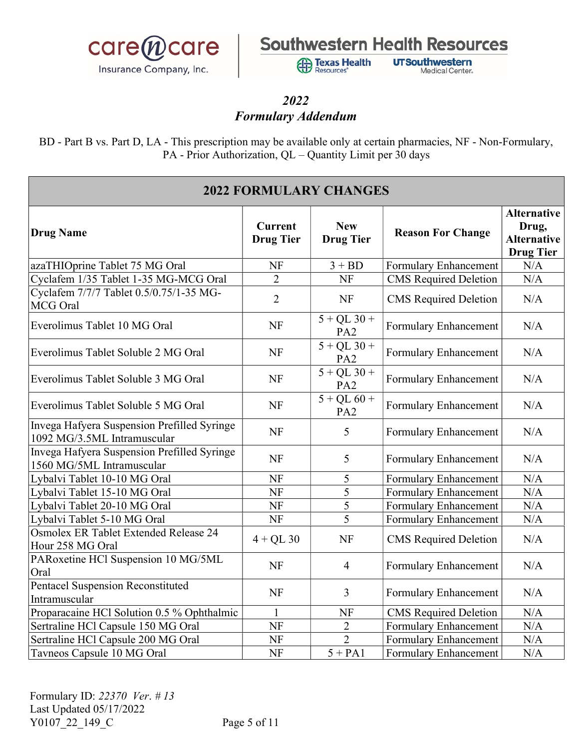

**Exas Health** Resources'

**UTSouthwestern Medical Center** 

#### 2022 Formulary Addendum

| <b>2022 FORMULARY CHANGES</b>                                              |                                    |                                  |                              |                                                                       |
|----------------------------------------------------------------------------|------------------------------------|----------------------------------|------------------------------|-----------------------------------------------------------------------|
| Drug Name                                                                  | <b>Current</b><br><b>Drug Tier</b> | <b>New</b><br><b>Drug Tier</b>   | <b>Reason For Change</b>     | <b>Alternative</b><br>Drug,<br><b>Alternative</b><br><b>Drug Tier</b> |
| azaTHIOprine Tablet 75 MG Oral                                             | NF                                 | $3 + BD$                         | Formulary Enhancement        | N/A                                                                   |
| Cyclafem 1/35 Tablet 1-35 MG-MCG Oral                                      | $\overline{2}$                     | <b>NF</b>                        | <b>CMS</b> Required Deletion | N/A                                                                   |
| Cyclafem 7/7/7 Tablet 0.5/0.75/1-35 MG-<br>MCG Oral                        | $\overline{2}$                     | <b>NF</b>                        | <b>CMS</b> Required Deletion | N/A                                                                   |
| Everolimus Tablet 10 MG Oral                                               | <b>NF</b>                          | $5 + QL$ 30 +<br>PA <sub>2</sub> | Formulary Enhancement        | N/A                                                                   |
| Everolimus Tablet Soluble 2 MG Oral                                        | <b>NF</b>                          | $5 + QL$ 30 +<br>PA <sub>2</sub> | Formulary Enhancement        | N/A                                                                   |
| Everolimus Tablet Soluble 3 MG Oral                                        | <b>NF</b>                          | $5 + QL$ 30 +<br>PA <sub>2</sub> | Formulary Enhancement        | N/A                                                                   |
| Everolimus Tablet Soluble 5 MG Oral                                        | NF                                 | $5 + QL 60 +$<br>PA <sub>2</sub> | Formulary Enhancement        | N/A                                                                   |
| Invega Hafyera Suspension Prefilled Syringe<br>1092 MG/3.5ML Intramuscular | NF                                 | 5                                | Formulary Enhancement        | N/A                                                                   |
| Invega Hafyera Suspension Prefilled Syringe<br>1560 MG/5ML Intramuscular   | <b>NF</b>                          | 5                                | Formulary Enhancement        | N/A                                                                   |
| Lybalvi Tablet 10-10 MG Oral                                               | NF                                 | 5                                | <b>Formulary Enhancement</b> | N/A                                                                   |
| Lybalvi Tablet 15-10 MG Oral                                               | NF                                 | 5                                | Formulary Enhancement        | N/A                                                                   |
| Lybalvi Tablet 20-10 MG Oral                                               | NF                                 | 5                                | Formulary Enhancement        | N/A                                                                   |
| Lybalvi Tablet 5-10 MG Oral                                                | NF                                 | 5                                | Formulary Enhancement        | N/A                                                                   |
| Osmolex ER Tablet Extended Release 24<br>Hour 258 MG Oral                  | $4 + QL$ 30                        | <b>NF</b>                        | <b>CMS</b> Required Deletion | N/A                                                                   |
| PARoxetine HCl Suspension 10 MG/5ML<br>Oral                                | <b>NF</b>                          | $\overline{4}$                   | Formulary Enhancement        | N/A                                                                   |
| <b>Pentacel Suspension Reconstituted</b><br>Intramuscular                  | <b>NF</b>                          | $\overline{3}$                   | Formulary Enhancement        | N/A                                                                   |
| Proparacaine HCl Solution 0.5 % Ophthalmic                                 | $\mathbf{1}$                       | NF                               | <b>CMS</b> Required Deletion | N/A                                                                   |
| Sertraline HCl Capsule 150 MG Oral                                         | NF                                 | $\overline{2}$                   | Formulary Enhancement        | N/A                                                                   |
| Sertraline HCl Capsule 200 MG Oral                                         | <b>NF</b>                          | $\overline{2}$                   | Formulary Enhancement        | N/A                                                                   |
| Tavneos Capsule 10 MG Oral                                                 | NF                                 | $5 + PA1$                        | Formulary Enhancement        | N/A                                                                   |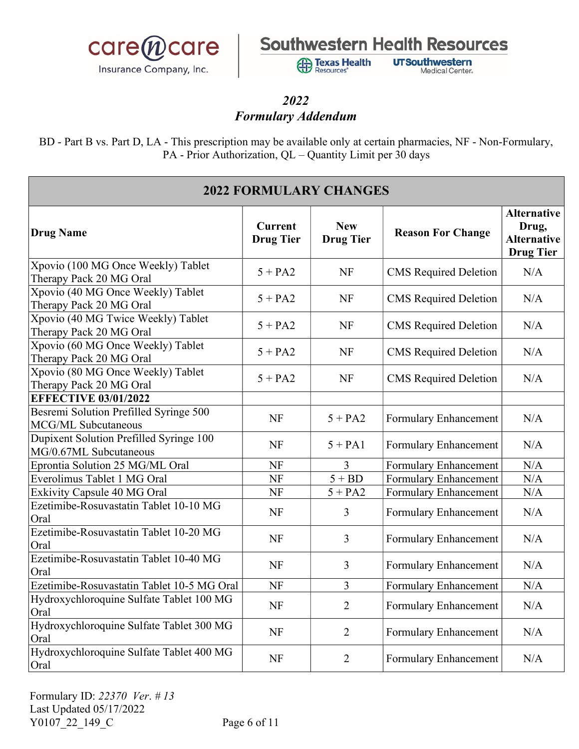

**Exas Health** Resources'

**UTSouthwestern** Medical Center.

### 2022 Formulary Addendum

| <b>2022 FORMULARY CHANGES</b>                                     |                                    |                                |                              |                                                                       |
|-------------------------------------------------------------------|------------------------------------|--------------------------------|------------------------------|-----------------------------------------------------------------------|
| Drug Name                                                         | <b>Current</b><br><b>Drug Tier</b> | <b>New</b><br><b>Drug Tier</b> | <b>Reason For Change</b>     | <b>Alternative</b><br>Drug,<br><b>Alternative</b><br><b>Drug Tier</b> |
| Xpovio (100 MG Once Weekly) Tablet<br>Therapy Pack 20 MG Oral     | $5 + PA2$                          | <b>NF</b>                      | <b>CMS</b> Required Deletion | N/A                                                                   |
| Xpovio (40 MG Once Weekly) Tablet<br>Therapy Pack 20 MG Oral      | $5 + PA2$                          | <b>NF</b>                      | <b>CMS</b> Required Deletion | N/A                                                                   |
| Xpovio (40 MG Twice Weekly) Tablet<br>Therapy Pack 20 MG Oral     | $5 + PA2$                          | <b>NF</b>                      | <b>CMS</b> Required Deletion | N/A                                                                   |
| Xpovio (60 MG Once Weekly) Tablet<br>Therapy Pack 20 MG Oral      | $5 + PA2$                          | NF                             | <b>CMS</b> Required Deletion | N/A                                                                   |
| Xpovio (80 MG Once Weekly) Tablet<br>Therapy Pack 20 MG Oral      | $5 + PA2$                          | <b>NF</b>                      | <b>CMS</b> Required Deletion | N/A                                                                   |
| <b>EFFECTIVE 03/01/2022</b>                                       |                                    |                                |                              |                                                                       |
| Besremi Solution Prefilled Syringe 500<br>MCG/ML Subcutaneous     | <b>NF</b>                          | $5 + PA2$                      | Formulary Enhancement        | N/A                                                                   |
| Dupixent Solution Prefilled Syringe 100<br>MG/0.67ML Subcutaneous | <b>NF</b>                          | $5 + PA1$                      | Formulary Enhancement        | N/A                                                                   |
| Eprontia Solution 25 MG/ML Oral                                   | NF                                 | 3                              | Formulary Enhancement        | N/A                                                                   |
| Everolimus Tablet 1 MG Oral                                       | NF                                 | $5 + BD$                       | Formulary Enhancement        | N/A                                                                   |
| Exkivity Capsule 40 MG Oral                                       | NF                                 | $5 + PA2$                      | Formulary Enhancement        | N/A                                                                   |
| Ezetimibe-Rosuvastatin Tablet 10-10 MG<br>Oral                    | <b>NF</b>                          | $\overline{3}$                 | Formulary Enhancement        | N/A                                                                   |
| Ezetimibe-Rosuvastatin Tablet 10-20 MG<br>Oral                    | NF                                 | $\overline{3}$                 | Formulary Enhancement        | N/A                                                                   |
| Ezetimibe-Rosuvastatin Tablet 10-40 MG<br>Oral                    | <b>NF</b>                          | $\overline{3}$                 | Formulary Enhancement        | N/A                                                                   |
| Ezetimibe-Rosuvastatin Tablet 10-5 MG Oral                        | <b>NF</b>                          | 3                              | Formulary Enhancement        | N/A                                                                   |
| Hydroxychloroquine Sulfate Tablet 100 MG<br>Oral                  | <b>NF</b>                          | $\overline{2}$                 | Formulary Enhancement        | N/A                                                                   |
| Hydroxychloroquine Sulfate Tablet 300 MG<br>Oral                  | <b>NF</b>                          | $\overline{2}$                 | Formulary Enhancement        | N/A                                                                   |
| Hydroxychloroquine Sulfate Tablet 400 MG<br>Oral                  | <b>NF</b>                          | $\overline{2}$                 | Formulary Enhancement        | N/A                                                                   |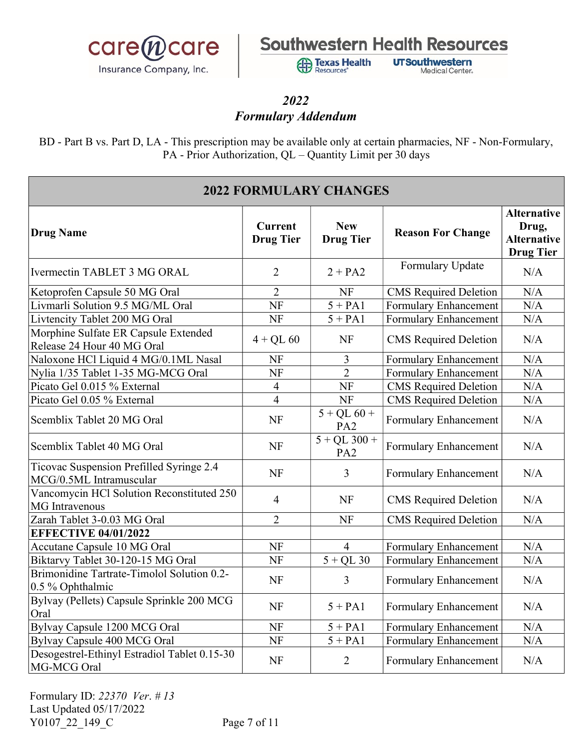

**Exas Health** Resources'

**UTSouthwestern** Medical Center.

#### 2022 Formulary Addendum

| <b>2022 FORMULARY CHANGES</b>                                       |                                    |                                   |                              |                                                                       |
|---------------------------------------------------------------------|------------------------------------|-----------------------------------|------------------------------|-----------------------------------------------------------------------|
| <b>Drug Name</b>                                                    | <b>Current</b><br><b>Drug Tier</b> | <b>New</b><br><b>Drug Tier</b>    | <b>Reason For Change</b>     | <b>Alternative</b><br>Drug,<br><b>Alternative</b><br><b>Drug Tier</b> |
| Ivermectin TABLET 3 MG ORAL                                         | 2                                  | $2 + PA2$                         | Formulary Update             | N/A                                                                   |
| Ketoprofen Capsule 50 MG Oral                                       | $\overline{2}$                     | <b>NF</b>                         | <b>CMS</b> Required Deletion | N/A                                                                   |
| Livmarli Solution 9.5 MG/ML Oral                                    | NF                                 | $5 + PA1$                         | Formulary Enhancement        | N/A                                                                   |
| Livtencity Tablet 200 MG Oral                                       | <b>NF</b>                          | $5 + PA1$                         | <b>Formulary Enhancement</b> | N/A                                                                   |
| Morphine Sulfate ER Capsule Extended<br>Release 24 Hour 40 MG Oral  | $4 + QL 60$                        | <b>NF</b>                         | <b>CMS</b> Required Deletion | N/A                                                                   |
| Naloxone HCl Liquid 4 MG/0.1ML Nasal                                | NF                                 | $\overline{3}$                    | Formulary Enhancement        | N/A                                                                   |
| Nylia 1/35 Tablet 1-35 MG-MCG Oral                                  | NF                                 | $\overline{2}$                    | Formulary Enhancement        | N/A                                                                   |
| Picato Gel 0.015 % External                                         | $\overline{4}$                     | <b>NF</b>                         | <b>CMS</b> Required Deletion | N/A                                                                   |
| Picato Gel 0.05 % External                                          | $\overline{4}$                     | <b>NF</b>                         | <b>CMS</b> Required Deletion | N/A                                                                   |
| Scemblix Tablet 20 MG Oral                                          | <b>NF</b>                          | $5 + QL 60 +$<br>PA <sub>2</sub>  | Formulary Enhancement        | N/A                                                                   |
| Scemblix Tablet 40 MG Oral                                          | <b>NF</b>                          | $5 + QL$ 300 +<br>PA <sub>2</sub> | Formulary Enhancement        | N/A                                                                   |
| Ticovac Suspension Prefilled Syringe 2.4<br>MCG/0.5ML Intramuscular | NF                                 | $\overline{3}$                    | Formulary Enhancement        | N/A                                                                   |
| Vancomycin HCl Solution Reconstituted 250<br><b>MG</b> Intravenous  | $\overline{4}$                     | <b>NF</b>                         | <b>CMS</b> Required Deletion | N/A                                                                   |
| Zarah Tablet 3-0.03 MG Oral                                         | $\overline{2}$                     | <b>NF</b>                         | <b>CMS</b> Required Deletion | N/A                                                                   |
| <b>EFFECTIVE 04/01/2022</b>                                         |                                    |                                   |                              |                                                                       |
| Accutane Capsule 10 MG Oral                                         | <b>NF</b>                          | $\overline{4}$                    | Formulary Enhancement        | N/A                                                                   |
| Biktarvy Tablet 30-120-15 MG Oral                                   | <b>NF</b>                          | $5 + QL$ 30                       | Formulary Enhancement        | N/A                                                                   |
| Brimonidine Tartrate-Timolol Solution 0.2-<br>0.5 % Ophthalmic      | <b>NF</b>                          | $\overline{3}$                    | Formulary Enhancement        | N/A                                                                   |
| Bylvay (Pellets) Capsule Sprinkle 200 MCG<br>Oral                   | <b>NF</b>                          | $5 + PA1$                         | Formulary Enhancement        | N/A                                                                   |
| Bylvay Capsule 1200 MCG Oral                                        | <b>NF</b>                          | $5 + PA1$                         | Formulary Enhancement        | N/A                                                                   |
| Bylvay Capsule 400 MCG Oral                                         | <b>NF</b>                          | $5 + PA1$                         | Formulary Enhancement        | N/A                                                                   |
| Desogestrel-Ethinyl Estradiol Tablet 0.15-30<br>MG-MCG Oral         | <b>NF</b>                          | $\overline{2}$                    | Formulary Enhancement        | N/A                                                                   |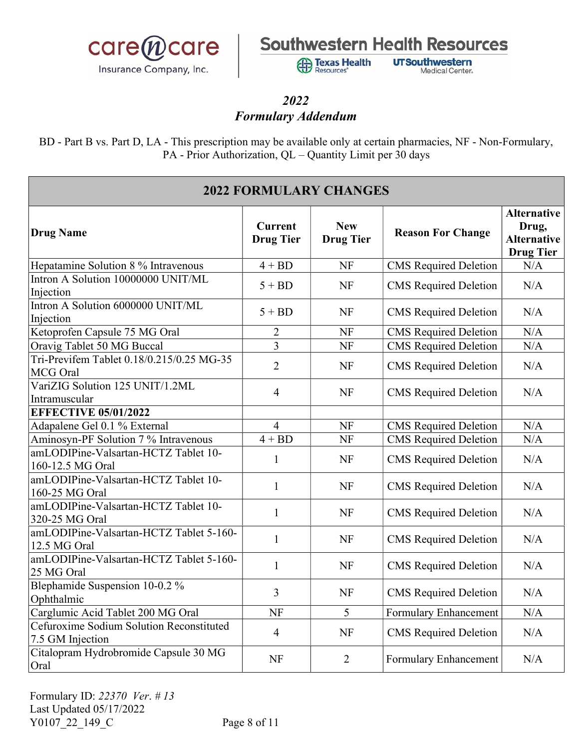

**Exas Health** Resources'

**UTSouthwestern** Medical Center.

#### 2022 Formulary Addendum

| <b>2022 FORMULARY CHANGES</b>                                |                                    |                                |                              |                                                                       |
|--------------------------------------------------------------|------------------------------------|--------------------------------|------------------------------|-----------------------------------------------------------------------|
| <b>Drug Name</b>                                             | <b>Current</b><br><b>Drug Tier</b> | <b>New</b><br><b>Drug Tier</b> | <b>Reason For Change</b>     | <b>Alternative</b><br>Drug,<br><b>Alternative</b><br><b>Drug Tier</b> |
| Hepatamine Solution 8 % Intravenous                          | $4 + BD$                           | <b>NF</b>                      | <b>CMS</b> Required Deletion | N/A                                                                   |
| Intron A Solution 10000000 UNIT/ML<br>Injection              | $5 + BD$                           | <b>NF</b>                      | <b>CMS</b> Required Deletion | N/A                                                                   |
| Intron A Solution 6000000 UNIT/ML<br>Injection               | $5 + BD$                           | <b>NF</b>                      | <b>CMS</b> Required Deletion | N/A                                                                   |
| Ketoprofen Capsule 75 MG Oral                                | $\overline{c}$                     | NF                             | <b>CMS</b> Required Deletion | N/A                                                                   |
| Oravig Tablet 50 MG Buccal                                   | $\overline{3}$                     | <b>NF</b>                      | <b>CMS</b> Required Deletion | N/A                                                                   |
| Tri-Previfem Tablet 0.18/0.215/0.25 MG-35<br>MCG Oral        | $\overline{2}$                     | <b>NF</b>                      | <b>CMS</b> Required Deletion | N/A                                                                   |
| VariZIG Solution 125 UNIT/1.2ML<br>Intramuscular             | $\overline{4}$                     | <b>NF</b>                      | <b>CMS</b> Required Deletion | N/A                                                                   |
| <b>EFFECTIVE 05/01/2022</b>                                  |                                    |                                |                              |                                                                       |
| Adapalene Gel 0.1 % External                                 | $\overline{4}$                     | NF                             | <b>CMS</b> Required Deletion | N/A                                                                   |
| Aminosyn-PF Solution 7 % Intravenous                         | $\overline{4 + BD}$                | <b>NF</b>                      | <b>CMS</b> Required Deletion | N/A                                                                   |
| amLODIPine-Valsartan-HCTZ Tablet 10-<br>160-12.5 MG Oral     | $\mathbf{1}$                       | <b>NF</b>                      | <b>CMS</b> Required Deletion | N/A                                                                   |
| amLODIPine-Valsartan-HCTZ Tablet 10-<br>160-25 MG Oral       | 1                                  | NF                             | <b>CMS</b> Required Deletion | N/A                                                                   |
| amLODIPine-Valsartan-HCTZ Tablet 10-<br>320-25 MG Oral       | $\mathbf{1}$                       | <b>NF</b>                      | <b>CMS</b> Required Deletion | N/A                                                                   |
| amLODIPine-Valsartan-HCTZ Tablet 5-160-<br>12.5 MG Oral      | $\mathbf{1}$                       | <b>NF</b>                      | <b>CMS</b> Required Deletion | N/A                                                                   |
| amLODIPine-Valsartan-HCTZ Tablet 5-160-<br>25 MG Oral        | $\mathbf{1}$                       | <b>NF</b>                      | <b>CMS</b> Required Deletion | N/A                                                                   |
| Blephamide Suspension 10-0.2 %<br>Ophthalmic                 | 3                                  | <b>NF</b>                      | <b>CMS</b> Required Deletion | N/A                                                                   |
| Carglumic Acid Tablet 200 MG Oral                            | NF                                 | 5                              | Formulary Enhancement        | N/A                                                                   |
| Cefuroxime Sodium Solution Reconstituted<br>7.5 GM Injection | $\overline{4}$                     | <b>NF</b>                      | <b>CMS</b> Required Deletion | N/A                                                                   |
| Citalopram Hydrobromide Capsule 30 MG<br>Oral                | <b>NF</b>                          | $\overline{2}$                 | Formulary Enhancement        | N/A                                                                   |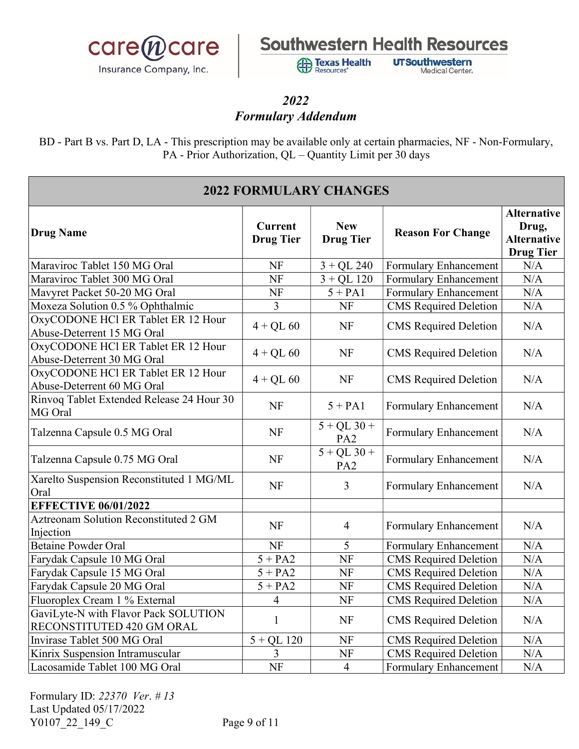

**Exas Health** Resources'

**UTSouthwestern** Medical Center.

#### 2022 Formulary Addendum

| <b>2022 FORMULARY CHANGES</b>                                     |                                    |                                  |                              |                                                                       |
|-------------------------------------------------------------------|------------------------------------|----------------------------------|------------------------------|-----------------------------------------------------------------------|
| <b>Drug Name</b>                                                  | <b>Current</b><br><b>Drug Tier</b> | <b>New</b><br><b>Drug Tier</b>   | <b>Reason For Change</b>     | <b>Alternative</b><br>Drug,<br><b>Alternative</b><br><b>Drug Tier</b> |
| Maraviroc Tablet 150 MG Oral                                      | NF                                 | $3 + QL$ 240                     | Formulary Enhancement        | N/A                                                                   |
| Maraviroc Tablet 300 MG Oral                                      | NF                                 | $3 + QL$ 120                     | Formulary Enhancement        | N/A                                                                   |
| Mavyret Packet 50-20 MG Oral                                      | NF                                 | $5 + PA1$                        | Formulary Enhancement        | N/A                                                                   |
| Moxeza Solution 0.5 % Ophthalmic                                  | 3                                  | <b>NF</b>                        | <b>CMS</b> Required Deletion | N/A                                                                   |
| OxyCODONE HCl ER Tablet ER 12 Hour<br>Abuse-Deterrent 15 MG Oral  | $4 + QL 60$                        | <b>NF</b>                        | <b>CMS</b> Required Deletion | N/A                                                                   |
| OxyCODONE HCl ER Tablet ER 12 Hour<br>Abuse-Deterrent 30 MG Oral  | $4 + QL 60$                        | <b>NF</b>                        | <b>CMS</b> Required Deletion | N/A                                                                   |
| OxyCODONE HCl ER Tablet ER 12 Hour<br>Abuse-Deterrent 60 MG Oral  | $4 + QL 60$                        | <b>NF</b>                        | <b>CMS</b> Required Deletion | N/A                                                                   |
| Rinvoq Tablet Extended Release 24 Hour 30<br>MG Oral              | NF                                 | $5 + PA1$                        | Formulary Enhancement        | N/A                                                                   |
| Talzenna Capsule 0.5 MG Oral                                      | <b>NF</b>                          | $5 + QL$ 30 +<br>PA <sub>2</sub> | Formulary Enhancement        | N/A                                                                   |
| Talzenna Capsule 0.75 MG Oral                                     | <b>NF</b>                          | $5 + QL$ 30 +<br>PA <sub>2</sub> | Formulary Enhancement        | N/A                                                                   |
| Xarelto Suspension Reconstituted 1 MG/ML<br>Oral                  | <b>NF</b>                          | $\overline{3}$                   | Formulary Enhancement        | N/A                                                                   |
| <b>EFFECTIVE 06/01/2022</b>                                       |                                    |                                  |                              |                                                                       |
| <b>Aztreonam Solution Reconstituted 2 GM</b><br>Injection         | <b>NF</b>                          | $\overline{4}$                   | Formulary Enhancement        | N/A                                                                   |
| <b>Betaine Powder Oral</b>                                        | <b>NF</b>                          | 5                                | Formulary Enhancement        | N/A                                                                   |
| Farydak Capsule 10 MG Oral                                        | $5 + PA2$                          | <b>NF</b>                        | <b>CMS</b> Required Deletion | N/A                                                                   |
| Farydak Capsule 15 MG Oral                                        | $5 + PA2$                          | <b>NF</b>                        | <b>CMS</b> Required Deletion | N/A                                                                   |
| Farydak Capsule 20 MG Oral                                        | $5 + PA2$                          | <b>NF</b>                        | <b>CMS</b> Required Deletion | N/A                                                                   |
| Fluoroplex Cream 1 % External                                     | $\overline{\mathbf{4}}$            | <b>NF</b>                        | CMS Required Deletion        | N/A                                                                   |
| GaviLyte-N with Flavor Pack SOLUTION<br>RECONSTITUTED 420 GM ORAL | $\mathbf{1}$                       | <b>NF</b>                        | <b>CMS</b> Required Deletion | N/A                                                                   |
| Invirase Tablet 500 MG Oral                                       | $5 + QL$ 120                       | <b>NF</b>                        | <b>CMS</b> Required Deletion | N/A                                                                   |
| Kinrix Suspension Intramuscular                                   | 3                                  | NF                               | <b>CMS</b> Required Deletion | N/A                                                                   |
| Lacosamide Tablet 100 MG Oral                                     | <b>NF</b>                          | $\overline{4}$                   | Formulary Enhancement        | N/A                                                                   |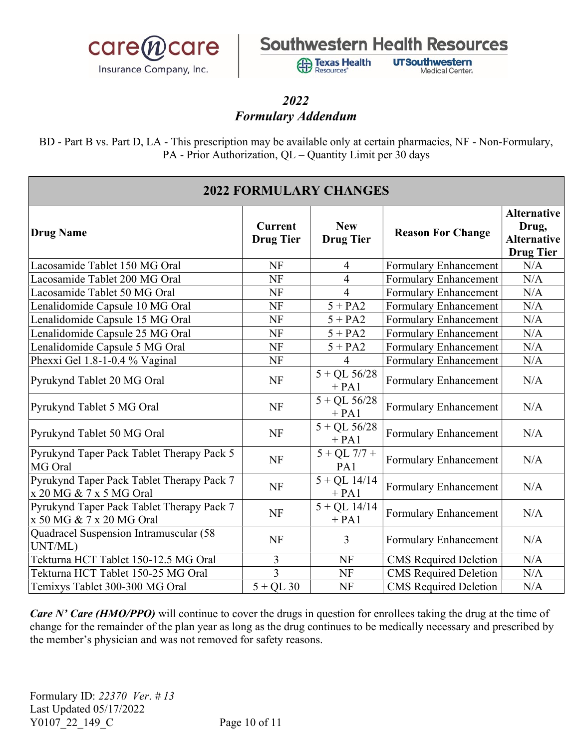

**Texas Health Resources** 

**UTSouthwestern Medical Center** 

### 2022 Formulary Addendum

BD - Part B vs. Part D, LA - This prescription may be available only at certain pharmacies, NF - Non-Formulary, PA - Prior Authorization, QL – Quantity Limit per 30 days

| <b>2022 FORMULARY CHANGES</b>                                         |                                    |                                |                              |                                                                       |
|-----------------------------------------------------------------------|------------------------------------|--------------------------------|------------------------------|-----------------------------------------------------------------------|
| <b>Drug Name</b>                                                      | <b>Current</b><br><b>Drug Tier</b> | <b>New</b><br><b>Drug Tier</b> | <b>Reason For Change</b>     | <b>Alternative</b><br>Drug,<br><b>Alternative</b><br><b>Drug Tier</b> |
| Lacosamide Tablet 150 MG Oral                                         | NF                                 | $\overline{4}$                 | <b>Formulary Enhancement</b> | N/A                                                                   |
| Lacosamide Tablet 200 MG Oral                                         | NF                                 | $\overline{4}$                 | <b>Formulary Enhancement</b> | N/A                                                                   |
| Lacosamide Tablet 50 MG Oral                                          | <b>NF</b>                          | $\overline{4}$                 | Formulary Enhancement        | N/A                                                                   |
| Lenalidomide Capsule 10 MG Oral                                       | NF                                 | $5 + PA2$                      | Formulary Enhancement        | N/A                                                                   |
| Lenalidomide Capsule 15 MG Oral                                       | <b>NF</b>                          | $5 + PA2$                      | <b>Formulary Enhancement</b> | N/A                                                                   |
| Lenalidomide Capsule 25 MG Oral                                       | <b>NF</b>                          | $5 + PA2$                      | Formulary Enhancement        | N/A                                                                   |
| Lenalidomide Capsule 5 MG Oral                                        | NF                                 | $5 + PA2$                      | Formulary Enhancement        | N/A                                                                   |
| Phexxi Gel 1.8-1-0.4 % Vaginal                                        | <b>NF</b>                          | $\overline{\mathcal{A}}$       | Formulary Enhancement        | N/A                                                                   |
| Pyrukynd Tablet 20 MG Oral                                            | NF                                 | $5 + QL$ 56/28<br>$+ PA1$      | Formulary Enhancement        | N/A                                                                   |
| Pyrukynd Tablet 5 MG Oral                                             | NF                                 | $5 + QL$ $56/28$<br>$+ PA1$    | Formulary Enhancement        | N/A                                                                   |
| Pyrukynd Tablet 50 MG Oral                                            | NF                                 | $5 + QL$ 56/28<br>$+ PA1$      | Formulary Enhancement        | N/A                                                                   |
| Pyrukynd Taper Pack Tablet Therapy Pack 5<br>MG Oral                  | NF                                 | $5 + QL$ 7/7 +<br>PA1          | Formulary Enhancement        | N/A                                                                   |
| Pyrukynd Taper Pack Tablet Therapy Pack 7<br>x 20 MG & 7 x 5 MG Oral  | <b>NF</b>                          | $5 + QL$ 14/14<br>$+ PA1$      | Formulary Enhancement        | N/A                                                                   |
| Pyrukynd Taper Pack Tablet Therapy Pack 7<br>x 50 MG & 7 x 20 MG Oral | <b>NF</b>                          | $5 + QL$ 14/14<br>$+ PA1$      | Formulary Enhancement        | N/A                                                                   |
| Quadracel Suspension Intramuscular (58<br>UNT/ML)                     | NF                                 | 3                              | Formulary Enhancement        | N/A                                                                   |
| Tekturna HCT Tablet 150-12.5 MG Oral                                  | 3                                  | <b>NF</b>                      | <b>CMS</b> Required Deletion | N/A                                                                   |
| Tekturna HCT Tablet 150-25 MG Oral                                    | $\overline{3}$                     | <b>NF</b>                      | <b>CMS</b> Required Deletion | N/A                                                                   |
| Temixys Tablet 300-300 MG Oral                                        | $5 + QL$ 30                        | <b>NF</b>                      | <b>CMS</b> Required Deletion | N/A                                                                   |

Care N' Care (HMO/PPO) will continue to cover the drugs in question for enrollees taking the drug at the time of change for the remainder of the plan year as long as the drug continues to be medically necessary and prescribed by the member's physician and was not removed for safety reasons.